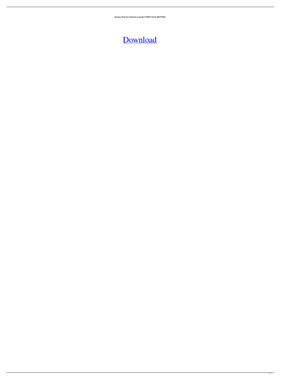**Dynasty.Warriors.8.Xtreme.Legends-CODEX Patch [BETTER]**

## [Download](http://evacdir.com/expectations/lace.homebase/qintar.chromalife/RHluYXN0eS5XYXJyaW9ycy44Llh0cmVtZS5MZWdlbmRzLUNPREVYIFBhdGNoRHl/ZG93bmxvYWR8NDV0WjJOMmJIeDhNVFkxTlRnME1qazRNWHg4TWpVNU1IeDhLRTBwSUZkdmNtUndjbVZ6Y3lCYldFMU1VbEJESUZZeUlGQkVSbDA.washes)